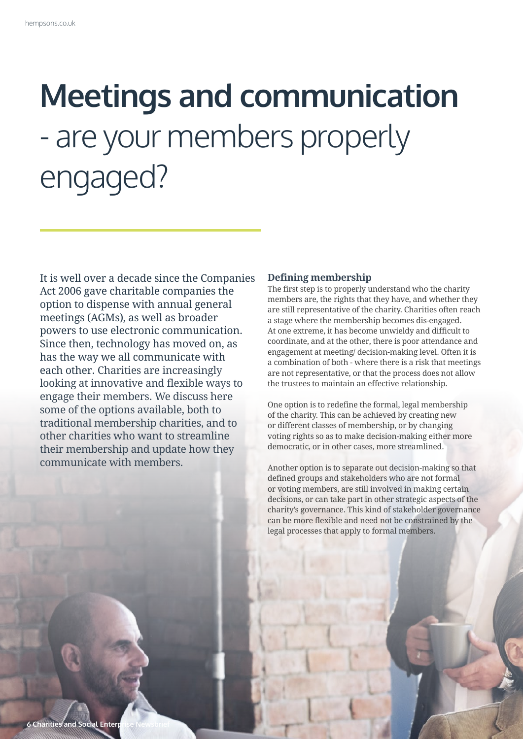# **Meetings and communication**  - are your members properly engaged?

It is well over a decade since the Companies Act 2006 gave charitable companies the option to dispense with annual general meetings (AGMs), as well as broader powers to use electronic communication. Since then, technology has moved on, as has the way we all communicate with each other. Charities are increasingly looking at innovative and flexible ways to engage their members. We discuss here some of the options available, both to traditional membership charities, and to other charities who want to streamline their membership and update how they communicate with members.

#### **Defining membership**

The first step is to properly understand who the charity members are, the rights that they have, and whether they are still representative of the charity. Charities often reach a stage where the membership becomes dis-engaged. At one extreme, it has become unwieldy and difficult to coordinate, and at the other, there is poor attendance and engagement at meeting/ decision-making level. Often it is a combination of both - where there is a risk that meetings are not representative, or that the process does not allow the trustees to maintain an effective relationship.

One option is to redefine the formal, legal membership of the charity. This can be achieved by creating new or different classes of membership, or by changing voting rights so as to make decision-making either more democratic, or in other cases, more streamlined.

Another option is to separate out decision-making so that defined groups and stakeholders who are not formal or voting members, are still involved in making certain decisions, or can take part in other strategic aspects of the charity's governance. This kind of stakeholder governance can be more flexible and need not be constrained by the legal processes that apply to formal members.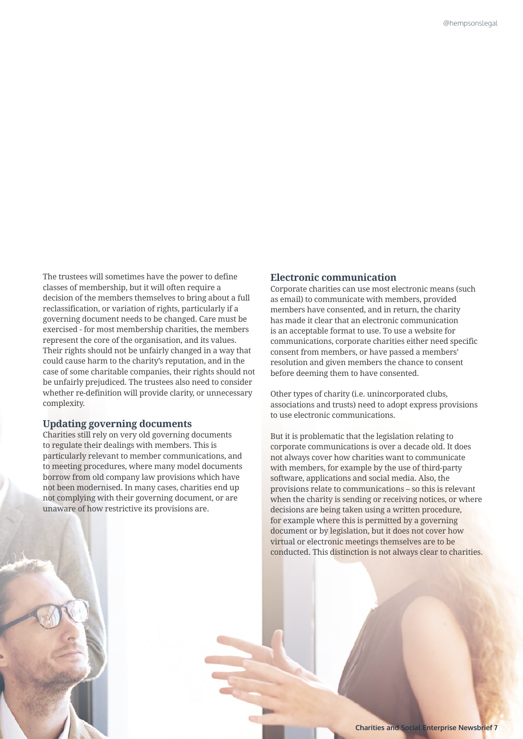The trustees will sometimes have the power to define classes of membership, but it will often require a decision of the members themselves to bring about a full reclassification, or variation of rights, particularly if a governing document needs to be changed. Care must be exercised - for most membership charities, the members represent the core of the organisation, and its values. Their rights should not be unfairly changed in a way that could cause harm to the charity's reputation, and in the case of some charitable companies, their rights should not be unfairly prejudiced. The trustees also need to consider whether re-definition will provide clarity, or unnecessary complexity.

#### **Updating governing documents**

Charities still rely on very old governing documents to regulate their dealings with members. This is particularly relevant to member communications, and to meeting procedures, where many model documents borrow from old company law provisions which have not been modernised. In many cases, charities end up not complying with their governing document, or are unaware of how restrictive its provisions are.

#### **Electronic communication**

Corporate charities can use most electronic means (such as email) to communicate with members, provided members have consented, and in return, the charity has made it clear that an electronic communication is an acceptable format to use. To use a website for communications, corporate charities either need specific consent from members, or have passed a members' resolution and given members the chance to consent before deeming them to have consented.

Other types of charity (i.e. unincorporated clubs, associations and trusts) need to adopt express provisions to use electronic communications.

But it is problematic that the legislation relating to corporate communications is over a decade old. It does not always cover how charities want to communicate with members, for example by the use of third-party software, applications and social media. Also, the provisions relate to communications – so this is relevant when the charity is sending or receiving notices, or where decisions are being taken using a written procedure, for example where this is permitted by a governing document or by legislation, but it does not cover how virtual or electronic meetings themselves are to be conducted. This distinction is not always clear to charities.